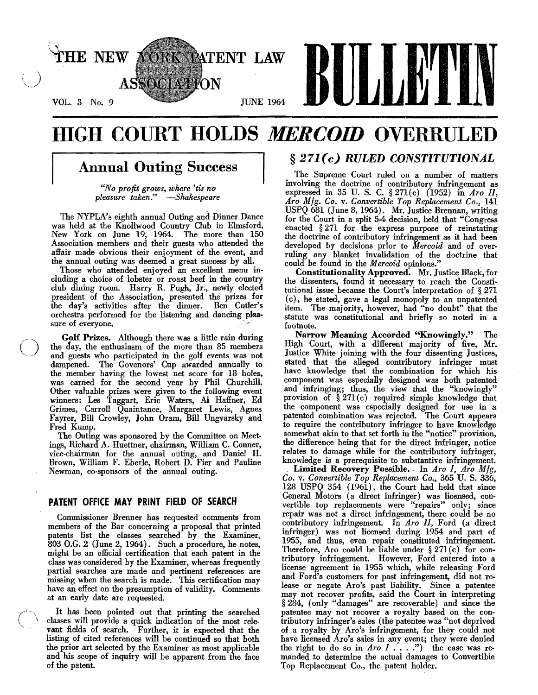

# HIGH COURT HOLDS *MERCOID* OVERRULED

# Annual Outing Success

*"No profit grows, where 'tis no pleasure taken." -Shakespeare* 

The NYPLA's eighth annual Outing and Dinner Dance was held at the Knollwood Country Club in Elmsford, New York on June 19, 1964. The more than 150 Association members and their guests who attended the affair made obvious their enjoyment of the event, and the annual outing was deemed a great success by all.

Those who attended enjoyed an excellent menu including a choice of lobster or roast beef in the country club dining room. Harry R. Pugh, Jr., newly elected president of the Association, presented the prizes for the day's activities after the dinner. Ben Cutler's orchestra performed for the listening and dancing plea. sure of everyone.

**Colf Prizes.** Although there was a little rain during<br>the day, the enthusiasm of the more than 85 members<br>and guests who participated in the golf events was not the day, the enthusiasm of the more than 85 members and guests who participated in the golf events was not dampened. The Govenors' Cup awarded annually to the member having the lowest net score for 18 holes, was earned for the second year by Phil Churchill. Other valuable prizes were given to the following event winners: Les Taggart, Eric Waters, AI Haffner, Ed Grimes, Carroll Quaintance, Margaret Lewis, Agnes Fayrer, Bill Crowley, John Oram, Bill Ungvarsky and Fred Kump.

> The Outing was sponsored by the Committee on Meetings, Richard A. Huettner, chairman, William C. Conner, vice·chairman for the annual outing, and Daniel H. Brown, William F. Eberle, Robert D. Fier and Pauline Newman, co-sponsors of the annual outing.

# PATENT OFFICE MAY PRINT FIELD OF SEARCH

Commissioner Brenner has requested comments from members of the Bar concerning a proposal that printed patents list the classes searched by the Examiner, 803 O.G. 2 (June 2, 1964). Such a procedure, he notes, might be an official certification that each patent in the class was considered by the Examiner, whereas frequently partial searches are made and pertinent references are missing when the search is made. This certification may bave an effect on the presumption of validity. Comments at an early date are requested.

It has been pointed out that printing the searched classes will provide a quick indication of the most relevant fields of search. Further, it is expected that the listing of cited references will be continued so that both the prior art selected by the Examiner as most applicable and his scope of inquiry will be apparent from the face of the patent.

# § 271 *(c) RULED CONSTITUTIONAL*

The Supreme Court ruled on a number of matters involving the doctrine of contributory infringement as expressed in 35 U. S. C. § 271(c) (1952) in *Aro II, ATO Mfg. Co.* v. *Convertible Top Replacement Co.,* 141 USPQ 681 (June 8,1964). Mr. Justice Brennan, writing for the Court in a split 5·4 decision, held that "Congress enacted § 271 for the express purpose of reinstating the doctrine of contributory infringement as it had been developed by decisions prior to *Mercoid* and of over· ruling any blanket invalidation of the doctrine that could be found in the *M ercoid* opinions." .

Constitutionality Approved. Mr. Justice Black, for the dissenters, found it necessary to reach the Constitutional issue because the Court's interpretation of § 271 (c), he stated, gave a legal monopoly to an unpatented item. The majority, however, had "no doubt" that the statute was constitutional and briefly so noted in a footnote.

Narrow Meaning Accorded "Knowingly." The High Court, with a different majority of five, Mr. Justice White joining with the four dissenting Justices, stated that the alleged contributory infringer must have knowledge that the combination for which his component was especially designed was both patented and infringing; thus, the view that the "knowingly" provision of  $\S 271(c)$  required simple knowledge that the component was especially designed for use in a patented combination was rejected. The Court appears to require the contributory infringer to have knowledge somewhat akin to that set forth in the "notice" provision, the difference being that for the direct infringer, notice relates to damage while for the contributory infringer, knowledge is a prerequisite to substantive infringement.

Limited Recovery Possible. In *Aro I, Aro Mfg, Co.* v. *Convertible Top Replacement Co.,* 365 U. S. 336, 128 USPQ 354 (1961), the Court had held that since General Motors (a direct infringer) was licensed, con· vertible top replacements were "repairs" only; since repair was not a direct infringement, there could be no contributory infringement. In *Aro II,* Ford (a direct infringer) was not licensed during 1954 and part of 1955, and thus, even repair constituted infringement. Therefore, Aro could be liable under § 271 (c) for contributory infringement. However, Ford entered into a license agreement in 1955 which, while releasing Ford and Ford's customers for past infringement, did not release or negate Aro's past liability. Since a patentee may not recover profits, said the Court in interpreting § 284, (only "damages" are recoverable) and since the patentee may not recover a royalty based on the contributory infringer's sales (the patentee was "not deprived of a royalty by Aro's infringement, for they could not have licensed Aro's sales in any event; they were denied the right to do so in  $\text{A}$ ro  $\text{I}$  . . . .") the case was remanded to determine the actual damages to Convertible Top Replacement Co., the patent holder.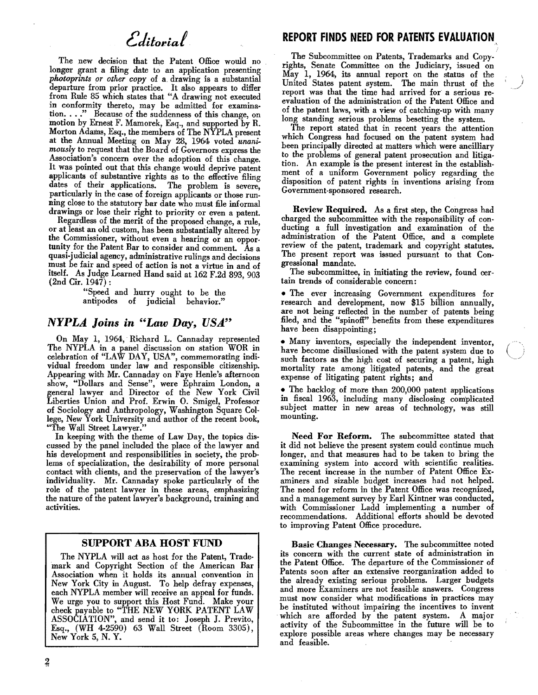The new decision that the Patent Office would no longer grant a filing date to an application presenting *photoprints or other copy* of a. drawing is a substantial departure from prior practice. It also appears to differ from Rnle 85 which states that "A drawing not executed in conformity thereto, may be admitted for examination...." Because of the suddenness of this change, on motion by Ernest F. Mamorek, Esq., and supported by R. Morton Adams, Esq., the members of The NYPLA present at the Annual Meeting on May 28, 1964 voted *unanimously* to request that the Board of Governors express the Association's concern over the adoption of this change. It was pointed out that this change would deprive patent applicants of substantive rights as to the effective filing dates of their applications. The problem is severe, particularly in the case of foreign applicants or those running close to the statutory bar date who must file informal drawings or lose their right to priority or even a patent.

Regardless of the merit of the proposed change, a rule, or at least an old custom, has been substantially altered by the Commissioner, without even a hearing or an opportumty for the Patent Bar to consider and comment. As a quasi-judicial agency, administrative rulings and decisions must be fair and speed of action is not a virtue in and of itself. As Judge Learned Hand said at 162 F.2d 893, 903  $(2nd Cir. 1947)$ :

"Speed and hurry ought to be the antipodes of judicial behavior.'

# *NYPLA. Joins in "Law Day, USA."*

On May 1, 1964, Richard L. Cannaday represented The NYPLA in a panel discussion on station WOR in celebration of "LAW DAY, USA", commemorating individual freedom under law and responsible citizenship. Appearing with Mr. Cannaday on Faye Henle's afternoon show, "Dollars and Sense", were Ephraim London, a general lawyer and Director of the New York Civil Liberties Union and Prof. Erwin O. Smigel, Professor of Sociology and Anthropology, Washington Square College, New York University and author of the recent book, "The Wall Street Lawyer."

In keeping with the theme of Law Day, the topics discussed by the panel included the place of the lawyer and his development and responsibilities in society, the prob· lems of specialization, the desirability of more personal contact with clients, and the preservation of the lawyer's individuality. Mr. Cannaday spoke particularly of the role of the patent lawyer in these areas, emphasizing the nature of the patent lawyer's background, training and activities.

# SUPPORT ABA HOST FUND

The NYPLA will act as host for the Patent, Trademark and Copyright Section of the American Bar Association when it holds its annual convention in New York City in August. To help defray expenses, each NYPLA member will receive an appeal for funds. We urge you to support this Host Fund. Make your check payable to "THE NEW YORK PATENT LAW check payable to ''THE NEW YORK PATENT LAW ASSOCIATION", and send it to: Joseph J. Previto, Esq., (WH 4·2590) 63 Wall Street (Room 3305), New York 5, N. Y.

# **REPORT FINDS NEED FOR PATENTS EVALUATION**

The Subcommittee on Patents, Trademarks and Copyrights, Senate Committee on the Judiciary, issued on May 1, 1964, its ammal report on the status of the United States patent system. The main thrust of the report was that the time had arrived for a serious reevaluation of the administration of the Patent Office and of the patent laws, with a view of catching-up with many long standing serious problems besetting the system.

The report stated that in recent years the attention which Congress had focused on the patent system had been principally directed at matters which were ancilliary to the problems of general patent prosecution and litigation. An example is the present interest in the establishment of a uniform Government policy regarding the disposition of patent rights in inventions arising from Government-sponsored research.

Review Required. As a first step, the Congress had charged the subcommittee with the responsibility of conducting a full investigation and examination of the administration of the Patent Office, and a complete review of the patent, trademark and copyright statutes. The present report was issued pursuant to that Congressional mandate.

The subcommittee, in initiating the review, found certain trends of considerable concern:

• The ever increasing Government expenditures for research and development, now \$15 billion annually, are not being reflected in the number of patents being filed, and the "spinoff" benefits from these expenditures have been disappointing;

• Many inventors, especially the independent inventor, have become disillusioned with the patent system due to such factors as the high cost of securing a patent, high mortality rate among litigated patents, and the great expense of litigating patent rights; and

<sup>~</sup>The backlog of more than 200,000 patent applications in fiscal 1963, including many disclosing complicated subject matter in new areas of technology, was still mounting.

Need For Reform. The subcommittee stated that it did not believe the present system could continue much longer, and that measures had to be taken to bring the examining system into accord with scientific realities. The recent increase in the number of Patent Office Examiners and sizable budget increases had not helped. The need for reform in the Patent Office was recognized, and a management survey by Earl Kintner was conducted, with Commissioner Ladd implementing a number of recommendations. Additional efforts should be devoted to improving Patent Office procedure.

Basic Changes Necessary. The subcommittee noted its concern with the current state of administration in the Patent Office. The departure of the Commissioner of Patents soon after an extensive reorganization added to the already existing serious problems. Larger budgets and more Examiners are not feasible answers. Congress must now consider what modifications in practices may be instituted without impairing the incentives to invent which are afforded by the patent system. A major activity of the Subcommittee in the future will be to explore possible areas where changes may be necessary and feasible.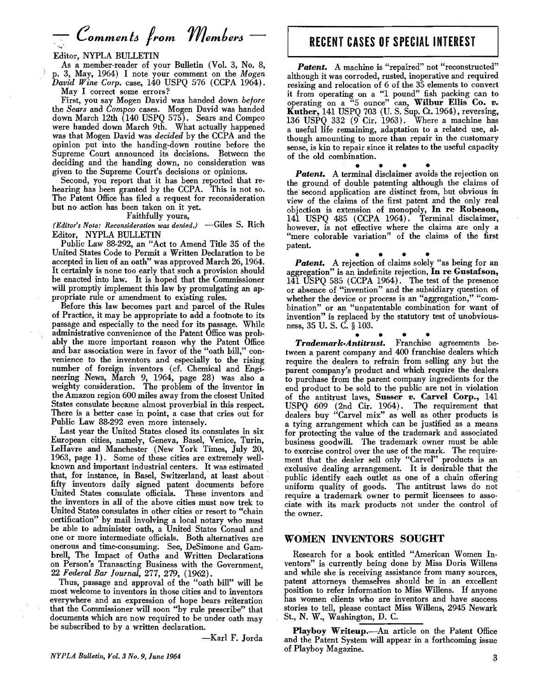# Editor, NYPLA BULLETIN

As a member-reader of your Bulletin (Vol. 3, No. 8, p. 3, May, 1964) I note your comment on the *Mogen David Wine Corp.* case, 140 USPQ 576 (CCPA 1964). May I correct some errors?

First, you say Mogen David was handed down *before*  the *Sears* and *Compco* cases. Mogen David was handed down March 12th (140 USPQ 575). Sears and Compco were handed down March 9th. What actually happened was that Mogen David was *decided* by the CCPA and the opinion put into the handing-down routine before the Supreme Court announced its decisions. Between the deciding and the handing down, no consideration was given to the Supreme Court's decisions or opinions.

Second, you report that it has been reported that rehearing has been granted by the CCPA. This is not so. The Patent Office has filed a request for reconsideration but no action has been taken on it yet.

#### Faithfully yours,

*(Editor's Note: Reconsideration was denied.)* -Giles S. Rich Editor, NYPLA BULLETIN

Public Law 88-292, an "Act to Amend Title 35 of the United States Code to Permit a Written Declaration to be accepted in lieu of an oath" was approved March 26, 1964. It certainly is none too early that such a provision should be enacted into law. It is hoped that the Commissioner will promptly implement this law by promulgating an appropriate rule or amendment to existing rules.

Before this law becomes part and parcel of the Rules of Practice, it may be appropriate to add a footnote to its passage and especially to the need for its passage. Wbile administrative convenience of the Patent Office was prob. ably tbe more important reason wby the Patent Office and bar association were in favor of the "oath bill," con· venience to the inventors and especially to the rising number of foreign inventors (of. Chemical and Engineering News, March 9, 1964, page 28) was also a weighty consideration. The problem of the inventor in the Amazon region 600 miles away from the closest United States consulate became almost proverbial in this respect. There is a better case in point, a case that cries out for Public Law 88·292 even more intensely.

Last year the United States closed its consulates in six European cities, namely, Geneva, Basel, Venice, Turin, leHavre and Manchester (New York Times, July 20, 1963, page 1). Some of these cities are extremely well· known and important industrial centers. It was estimated that, for instance, in Basel, Switzerland, at least about . fifty inventors daily signed patent documents before United States consulate officials. These inventors and the inventors in all of the above cities must now trek to United States consulates in other cities or resort to "chain certification" by mail involving a local notary who must be able to administer oath, a United States Consul and one or more intermediate officials. Both alternatives are onerous and time· consuming. See, DeSimone and Gam· brell, The Impact of Oaths and Written Declarations on Person's Transacting Business with the Government, *22 Federal Bar Journal,* 277, 279, (1962).

Thus, passage and approval of the "oath bill" will be most welcome to inventors in those cities and to inventors everywhere and an expression of hope bears reiteration that the Commissioner. will soon "by rule prescribe" that documents which are now required to be under oath may be subscribed to by a written declaration.

-Karl F. Jorda

# **RECENT CASES OF** SPECiAl INTEREST

Patent. A machine is "repaired" not "reconstructed" although it was corroded, rusted, inoperative and required resizing and relocation of 6 of the 35 elements to convert it from operating on a "1 pound" fish packing can to operating on a "5 ounce" can, Wilbur Ellis Co. *v.*  Kuther,  $141$  USPQ 703 (U. S. Sup. Ct. 1964), reversing, 136 USPQ 332 (9 Cir. 1963). Where a machine has a useful life remaining, adaptation to a related use, al· though amounting to more than repair in the customary sense, is kin to repair since it relates to the useful capacity of the old combination.

**Patent.** A terminal disclaimer avoids the rejection on the ground of double patenting although the claims of the second application are distinct from, but obvious in view of the claims of the first patent and the only real objection is extension of monopoly, In re Robeson, 141 USPQ 485 (CCPA 1964). Terminal disclaimer, however, is not effective where the claims are only a "mere colorable variation" of the claims of the first patent.

**Patent.** A rejection of claims solely "as being for an aggregation" is an indefinite rejection, In re Gustafson, 141 USPQ 585 (CCPA 1964). The test of the presence or absence of "invention" and the subsidiary question of whether the device or process is an "aggregation," "combination" or an "unpatentable combination for want of invention" is replaced by the statutory test of unobviousness, 35 U. S. C. § 103.

• • • • *Trademark.Antitrust.* Franchise agreements be· tween a parent company and 400 franchise dealers which require the dealers to refrain from selling any but the parent company's product and which require the dealers to purchase from the parent company ingredients for the end product to be sold to the public are not in violation of the antitrust laws, Susser *v.* Carvel Corp., 141 USPQ 609 (2nd Cir. 1964). The requirement that dealers buy "Carvel mix" as well as other products is a tying arrangement which can be justified as a means for protecting the value of the trademark and associated business goodwill. The trademark owner must be able to exercise control over the use of the mark. The requirement that the dealer sell only "Carvel" products is an exclusive dealing arrangement. It is desirable that the public identify each outlet as one of a chain offering uniform quality of goods. . The antitrust laws do not require a trademark owner to permit licensees to associate with its mark products not under the control of the owner.

### WOMEN INVENTORS SOUGHT

Research for a book entitled "American Women In· ventors" is currently being done by Miss Doris Willens and while she is receiving assistance from many sources, patent attorneys themselves should be in an excellent position to refer information to Miss Willens. If anyone has women clients who are inventors and have success stories to tell, please contact Miss Willens, 2945 Newark St., N. W., Washington, D. C.

Playboy Writeup. An article on the Patent Office and the Patent System will appear in a forthcoming issue of Playboy Magazine.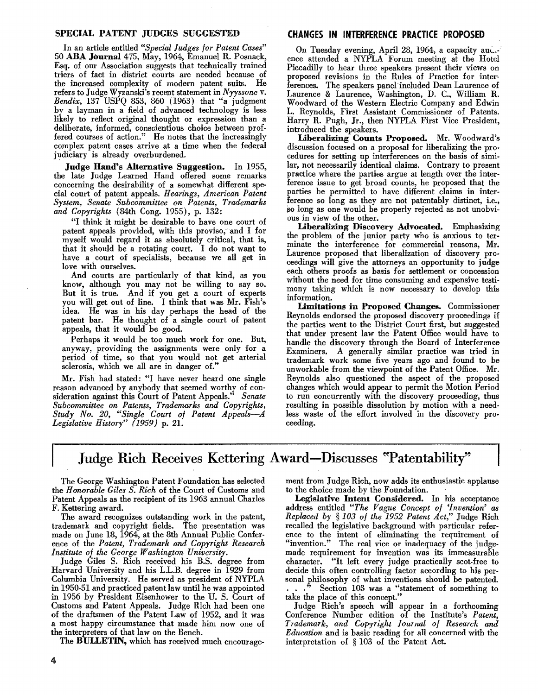#### SPECIAL PATENT JUDGES SUGGESTED

In an article entitled *"Special Judges for Patent Cases"*  50 ABA Journal 475, May, 1964, Emanuel R. Posnack, Esq. of our Association suggests that technically trained triers of fact in district courts are needed because of the increased complexity of modern patent suits. refers to Judge Wyzanski's recent statement in *Nyyssone* v. *Bendix,* 137 USPQ 853, 860 (1963) that "a judgment by a layman in a field of advanced technology is less likely to reflect original thought or expression than a deliberate, informed, conscientious choice between proffered courses of action." He notes that the increasingly complex patent cases arrive at a time when the federal judiciary is already overburdened.

Judge Hand's Alternative Suggestion. In 1955, the late Judge Learned Hand offered some remarks concerning the desirability of a somewhat different special court of patent appeals. *Hearings, American Patent System, Senate Subcommittee on Patents, Trademarks and Copyrights* (84th Cong. 1955), p. 132:

"I think it might be desirable to have one court of patent appeals provided, with this proviso, 'and I for myself would regard it as absolutely critical, that is, that it should be a rotating court. I do not want to have a court of specialists, because we all get in love with ourselves.

And courts are particularly of that kind, as you know, although you may not be willing to say so. But it is true. And if you get a court of experts you will get out of line. I think that was Mr. Fish's idea. He was in his day perhaps the head of the patent bar. He thought of a single court of patent appeals, that it would be good.

Perhaps it would be too much work for one. But, anyway, providing the assignments were only for a period of time, so that you would not get arterial sclerosis, which we all are in danger of."

Mr. Fish had stated: "I have never heard one single reason advanced by anybody that seemed worthy of con-<br>sideration against this Court of Patent Appeals." Senate sideration against this Court of Patent Appeals." *Subcommittee on Patents, Trademarks and Copyrights, Study No. 20, "Single Court of Patent Appeals-A Legislative History"* (1959) p. 21.

# CHANGES IN INTERFERENCE PRACTICE PROPOSED

On Tuesday evening, April 28, 1964, a capacity aut-.·' ence attended a NYPLA Forum meeting at the Hotel Piccadilly to hear three speakers present their views on proposed revisions in the Rules of Practice for interferences. The speakers panel included Dean Laurence of Laurence & Laurence, Washington, D. c., William R. Woodward of the Western Electric Company and Edwin L. Reynolds, First Assistant Commissioner of Patents. Harry R. Pugh, Jr., then NYPLA First Vice President, introduced the speakers.

Liberalizing Counts Proposed. Mr. Woodward's discussion focused on a proposal for liberalizing the pro· cedures for setting up interferences on the basis of similar, not necessarily identical claims. Contrary to present practice where the parties argue at length over the interference issue to get broad counts, he proposed that the patties be permitted to have different claims in inter· ference so long as they are not patentably distinct, i.e., so long as one would be properly rejected as not unobvious in view of the other.

Liberalizing Discovery Advocated. Emphasizing the problem of the junior party who is anxious to terminate the interference for commercial reasons, Mr. Laurence proposed that liberalization of discovery proceedings will give the attorneys an opportunity to judge each others proofs as basis for settlement or concession without the need for time consuming and expensive testimony taking which is now necessary to develop this information.

Limitations in Proposed Changes. Commissioner Reynolds endorsed the proposed discovery proceedings if the parties went to the District Court first, but suggested that under present law the Patent Office would have to handle the discovery through the Board of Interference Examiners. A generally similar practice was tried in trademark work some five years ago and found to be unworkable from the viewpoint of the Patent Office. Mr. Reynolds also questioned the aspect of the proposed changes which would appear to permit the Motion Period to run concurrently with the discovery proceeding, thus resulting in possible dissolution by motion with a needless waste of the effort involved in the discovery proceeding.

# Judge Rich Receives Kettering Award-Discusses "Patentability"

The George Washington Patent Foundation has selected the *Honorable Giles* S. *Rich* of the Court of Customs and Patent Appeals as the recipient of its 1963 annual Charles F. Kettering award.

The award recognizes outstanding work in the patent, trademark and copyright fields. The presentation was made on June 18, 1964, at the 8th Annual Public Confer· ence of the *Patent, Trademark and Copyright Research Institute of the George Washington University.* 

Judge Giles S. Rich received his B.S. degree from Harvard University and his L.L.B. degree in 1929 from Columbia University. He served as president of NYPLA in 1950-51 and practiced patent law until he was appointed in 1956 by President Eisenhower to the U. S. Court of Customs and Patent Appeals. Judge Rich had been one of the draftsmen of the Patent Law of 1952, and it was a most happy circumstance that made him now one of the interpreters of that law on the Bench.

The BULLETIN, which has received much encourage-

ment from Judge Rich, now adds its enthusiastic applause to the choice made by the Foundation.

Legislative Intent Considered. In his acceptance address entitled *"The Vague Concept of 'Invention' as Replaced by* § *103 of the* 1952 *Patent Act,"* Judge Rich recalled the legislative background with particular reference to the intent of eliminating the requirement of "invention." The real vice or inadequacy of the judgemade requirement for invention was its immeasurable character. "It left every judge practically scot.free to decide this often controlling factor according to his per· sonal philosophy of what inventions should be patented. . . .<sup>5</sup> Section 103 was a "statement of something to take the place of this concept."

Judge Rich's speech will appear in a forthcoming Conference Number edition of the Institute's *Patent, Trademark, and Copyright Journal of Research and Education* and is basic reading for all concerned with the interpretation of § 103 of the Patent Act.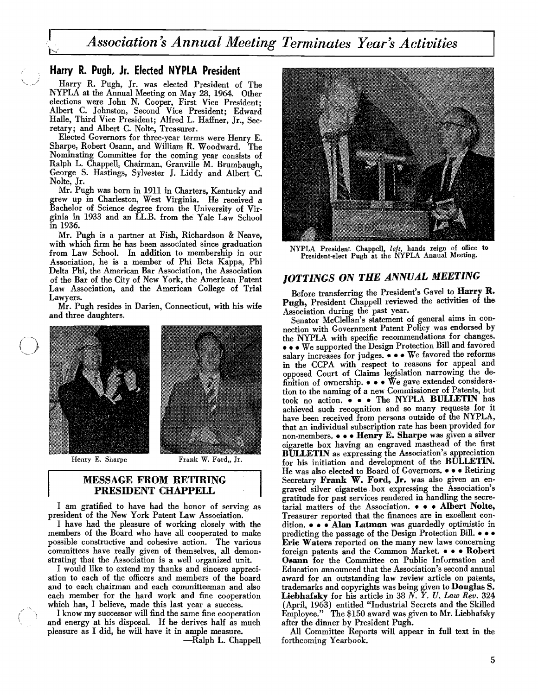# Harry R. Pugh, Jr. Elected NYPLA President

Harry R. Pugh, Jr. was elected President of The NYPLA at the Annual Meeting on May 28, 1964. Other elections were John N. Cooper, First Vice President; Albert C. Johnston, Second Vice President; Edward Halle, Third Vice President; Alfred L. Haffner, Jr., Secretary; and Albert C. Nolte, Treasurer.

Elected Governors for three· year terms were Henry E. Sharpe, Robert Osann, and William R. Woodward. The Nominating Committee for the coming year consists of Ralph L. Chappell, Chairman, Granville M. Brumbaugh, George S. Hastings, Sylvester J. Liddy and Albert C. Nolte, Jr.

Mr. Pugh was born in 1911 in Charters, Kentucky and grew up in Charleston, West Virginia. He received a Bachelor of Science degree from the University of Virginia in 1933 and an LL.B. from the Yale Law School in 1936.

Mr. Pugh is a partner at Fish, Richardson & Neave, with which firm he has been associated since graduation from Law School. In addition to membership in our Association, he is a member of Phi Beta Kappa, Phi Delta Phi, the American Bar Association, the Association of the Bar of the City of New York, the American Patent Law Association, and the American College of Trial Lawyers.

Mr. Pugh resides in Darien, Connecticut, with his wife and three daughters.



Henry E. Sharpe Frank W. Ford, Jr.

# MESSAGE FROM RETIRING PRESIDENT CHAPPELL

I am gratified to have had the honor of serving as president of the New York Patent Law Association.

I have had the pleasure of working closely with the members of the Board who have all cooperated to make possible constructive and cohesive action. The various committees have really given of themselves, all demonstrating that the Association is a well organized unit.

I would like to extend my thanks and sincere appreciation to each of the officers and members of the board and to each chairman and each committeeman and also each member for the hard work and fine cooperation which has, I believe, made this last year a success.

I know my successor will find the same fine cooperation and energy at his disposal. If he derives half as much pleasure as I did, he will have it in ample measure.

-Ralph L. Chappell



NYPLA President Chappell, *left,* hands reign of office to President·elect Pugh at the NYPLA Annual Meeting.

# JOTTINGS ON THE ANNUAL MEETING

Before transferring the President's Gavel to Harry R. Pugh, President Chappell reviewed the activities of the Association during the past year.

Senator McClellan's statement of general aims in connection with Government Patent Policy was endorsed by the NYPLA with specific recommendations for changes. 000 We supported the Design Protection Bill and favored salary increases for judges.  $\bullet \bullet \bullet$  We favored the reforms in the CCPA with respect to reasons for appeal and opposed Court of Claims legislation narrowing the definition of ownership.  $\bullet \bullet \bullet \mathbf{W}$ e gave extended consideration to the naming of a new Commissioner of Patents, but took no action.  $\bullet \bullet \bullet$  The NYPLA BULLETIN has achieved such recognition and so many requests for it have been received from persons outside of the NYPLA, that an individual subscription rate has been provided for non-members.  $\bullet \bullet \bullet$  Henry E. Sharpe was given a silver cigarette box having an engraved masthead of the first BULLETIN as expressing the Association's appreciation for his initiation and development of the BULLETIN. He was also elected to Board of Governors.  $\bullet \bullet \bullet$  Retiring Secretary Frank W. Ford, Jr. was also given an engraved silver cigarette box expressing the Association's gratitude for past services rendered in handling the secretarial matters of the Association. . . Albert Nolte, Treasurer reported that the finances are in excellent condition.  $\bullet \bullet \bullet$  Alan Latman was guardedly optimistic in predicting the passage of the Design Protection Bill. . . Eric Waters reported on the many new laws concerning foreign patents and the Common Market.  $\bullet \bullet \bullet$  Robert Osann for the Committee on Public Information and Education announced that the Association's second annual award for an outstanding law review article on patents, trademarks and copyrights was being given to Douglas S. Liebhafsky for his article in 38 *N. Y. U. Law Rev. 324*  (April, 1963) entitled "Industrial Secrets and the Skilled Employee," The \$150 award was given to Mr. Liebhafsky after the dinner by President Pugh.

All Committee Reports will appear in full text in the forthcoming Yearbook.